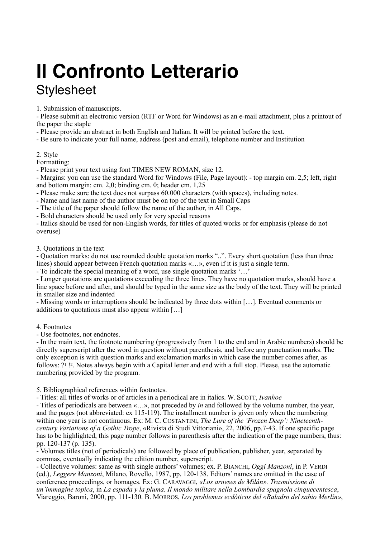## **Il Confronto Letterario Stylesheet**

1. Submission of manuscripts.

- Please submit an electronic version (RTF or Word for Windows) as an e-mail attachment, plus a printout of the paper the staple

- Please provide an abstract in both English and Italian. It will be printed before the text.

- Be sure to indicate your full name, address (post and email), telephone number and Institution

## 2. Style

Formatting:

- Please print your text using font TIMES NEW ROMAN, size 12.

- Margins: you can use the standard Word for Windows (File, Page layout): - top margin cm. 2,5; left, right and bottom margin: cm. 2,0; binding cm. 0; header cm. 1,25

- Please make sure the text does not surpass 60.000 characters (with spaces), including notes.

- Name and last name of the author must be on top of the text in Small Caps

- The title of the paper should follow the name of the author, in All Caps.

- Bold characters should be used only for very special reasons

- Italics should be used for non-English words, for titles of quoted works or for emphasis (please do not overuse)

3. Quotations in the text

- Quotation marks: do not use rounded double quotation marks "..". Every short quotation (less than three lines) should appear between French quotation marks «…», even if it is just a single term.

- To indicate the special meaning of a word, use single quotation marks '…'

- Longer quotations are quotations exceeding the three lines. They have no quotation marks, should have a line space before and after, and should be typed in the same size as the body of the text. They will be printed in smaller size and indented

- Missing words or interruptions should be indicated by three dots within […]. Eventual comments or additions to quotations must also appear within […]

## 4. Footnotes

- Use footnotes, not endnotes.

- In the main text, the footnote numbering (progressively from 1 to the end and in Arabic numbers) should be directly superscript after the word in question without parenthesis, and before any punctuation marks. The only exception is with question marks and exclamation marks in which case the number comes after, as follows: ?1 !2. Notes always begin with a Capital letter and end with a full stop. Please, use the automatic numbering provided by the program.

5. Bibliographical references within footnotes.

- Titles: all titles of works or of articles in a periodical are in italics. W. SCOTT, *Ivanhoe*

- Titles of periodicals are between «…», not preceded by *in* and followed by the volume number, the year, and the pages (not abbreviated: ex 115-119). The installment number is given only when the numbering within one year is not continuous. Ex: M. C. COSTANTINI, *The Lure of the 'Frozen Deep': Nineteenthcentury Variations of a Gothic Trope*, «Rivista di Studi Vittoriani», 22, 2006, pp.7-43. If one specific page has to be highlighted, this page number follows in parenthesis after the indication of the page numbers, thus: pp. 120-137 (p. 135).

- Volumes titles (not of periodicals) are followed by place of publication, publisher, year, separated by commas, eventually indicating the edition number, superscript.

- Collective volumes: same as with single authors' volumes; ex. P. BIANCHI, *Oggi Manzoni*, in P. VERDI (ed.), *Leggere Manzoni*, Milano, Rovello, 1987, pp. 120-138. Editors' names are omitted in the case of conference proceedings, or homages. Ex: G. CARAVAGGI, *«Los arneses de Milán». Trasmissione di un'immagine topica*, in *La espada y la pluma. Il mondo militare nella Lombardia spagnola cinquecentesca*, Viareggio, Baroni, 2000, pp. 111-130. B. MORROS, *Los problemas ecdóticos del «Baladro del sabio Merlín»*,